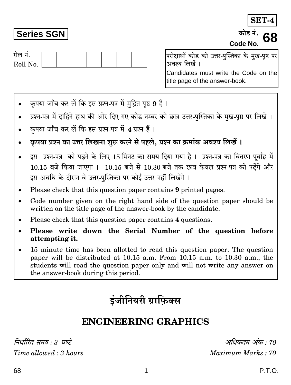अधिकतम् अंक  $\cdot$ 70 Maximum Marks: 70

रोल नं. Roll No.

**Series SGN** 

परीक्षार्थी कोड को उत्तर-पस्तिका के मख-पष्ठ पर अवश्य लिखें ।

Candidates must write the Code on the title page of the answer-book.

- कपया जाँच कर लें कि इस प्रश्न-पत्र में मुद्रित पृष्ठ 9 हैं।
- प्रश्न-पत्र में दाहिने हाथ की ओर दिए गए कोड नम्बर को छात्र उत्तर-पुस्तिका के मुख-पृष्ठ पर लिखें ।
- कपया जाँच कर लें कि इस प्रश्न-पत्र में 4 प्रश्न हैं।
- कृपया प्रश्न का उत्तर लिखना शुरू करने से पहले, प्रश्न का क्रमांक अवश्य लिखें।
- इस प्रश्न-पत्र को पढने के लिए 15 मिनट का समय दिया गया है। प्रश्न-पत्र का वितरण पूर्वाह्न में  $\bullet$ 10.15 बजे किया जाएगा । 10.15 बजे से 10.30 बजे तक छात्र केवल प्रश्न-पत्र को पढेंगे और इस अवधि के दौरान वे उत्तर-पस्तिका पर कोई उत्तर नहीं लिखेंगे ।
- Please check that this question paper contains 9 printed pages.
- Code number given on the right hand side of the question paper should be written on the title page of the answer-book by the candidate.
- Please check that this question paper contains 4 questions.
- Please write down the Serial Number of the question before attempting it.
- 15 minute time has been allotted to read this question paper. The question  $\bullet$ paper will be distributed at 10.15 a.m. From 10.15 a.m. to 10.30 a.m., the students will read the question paper only and will not write any answer on the answer-book during this period.

# डंजीनियरी ग्राफिक्स

## **ENGINEERING GRAPHICS**

निर्धारित समय . . घण्टे Time allowed: 3 hours

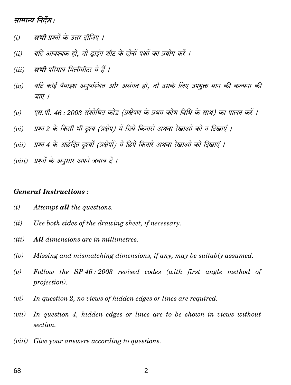### मामान्य निर्देश :

- मभी पश्नों के उत्तर तीजिए ।  $(i)$
- यदि आवश्यक हो. तो डाइंग शीट के दोनों पक्षों का प्रयोग करें ।  $(ii)$
- सभी परिमाप मिलीमीटर में हैं ।  $(iii)$
- यदि कोई पैमाइश अनुपस्थित और असंगत हो. तो उसके लिए उपयुक्त मान की कल्पना की  $(iv)$ जाए ।
- एस.पी. 46 : 2003 संशोधित कोड (प्रक्षेपण के प्रथम कोण विधि के साथ) का पालन करें ।  $(v)$
- प्रश्न 2 के किसी भी दृश्य (प्रक्षेप) में छिपे किनारों अथवा रेखाओं को न दिखाएँ ।  $(vi)$
- प्रश्न 4 के अछेदित दुश्यों (प्रक्षेपों) में छिपे किनारे अथवा रेखाओं को दिखाएँ ।  $(vii)$
- (viii) प्रश्नों के अनुसार अपने जवाब दें ।

#### **General Instructions:**

- $(i)$ Attempt **all** the questions.
- Use both sides of the drawing sheet, if necessary.  $(ii)$
- $(iii)$ **All** dimensions are in millimetres.
- Missing and mismatching dimensions, if any, may be suitably assumed.  $(iv)$
- Follow the SP 46:2003 revised codes (with first angle method of  $(v)$ *projection*).
- In question 2, no views of hidden edges or lines are required.  $(vi)$
- $(vii)$ In question 4, hidden edges or lines are to be shown in views without section.
- $(viii)$ Give your answers according to questions.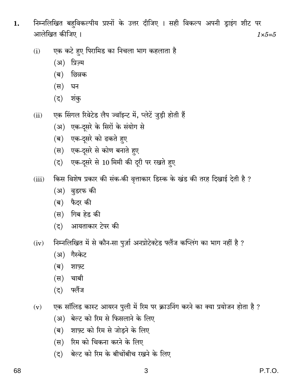- निम्नलिखित बहविकल्पीय प्रश्नों के उत्तर दीजिए । सही विकल्प अपनी ड्राइंग शीट पर 1. आलेखित कीजिए ।  $1 \times 5 = 5$ 
	- एक कटे हुए पिरामिड का निचला भाग कहलाता है  $(i)$ 
		- (अ) प्रिज़्म
		- $(\overline{\mathsf{q}})$ छिन्नक
		- (स) घन
		- $(5)$  शंक
	- एक सिंगल रिवेटेड लैप ज्वॉइन्ट में, प्लेटें जुड़ी होती हैं  $(ii)$ 
		- (अ) एक-दुसरे के सिरों के संयोग से
		- (ब) एक-दूसरे को ढकते हुए
		- (स) एक-दुसरे से कोण बनाते हुए
		- (द) एक-दूसरे से 10 मिमी की दूरी पर रखते हुए
	- किस विशेष प्रकार की संक-की वृत्ताकार डिस्क के खंड की तरह दिखाई देती है ?  $(iii)$ 
		- (अ) वुडरफ की
		- (ब) फैदर की
		- (स) गिब हेड की
		- (द) आयताकार टेपर की
	- निम्नलिखित में से कौन-सा पुर्ज़ा अनप्रोटेक्टेड फ्लैंज कप्लिंग का भाग नहीं है ?  $(iv)$ 
		- (अ) गैस्केट
		- $(\overline{\mathsf{q}})$ शाफ़्ट
		- (स) चाबी
		- (द) फ्लैंज
	- एक सॉलिड कास्ट आयरन पुली में रिम पर क्राउनिंग करने का क्या प्रयोजन होता है ?  $(v)$ 
		- (अ) बेल्ट को रिम से फिसलाने के लिए
		- (ब) शाफ़्ट को रिम से जोडने के लिए
		- (स) रिम को चिकना करने के लिए
		- (द) बेल्ट को रिम के बीचोंबीच रखने के लिए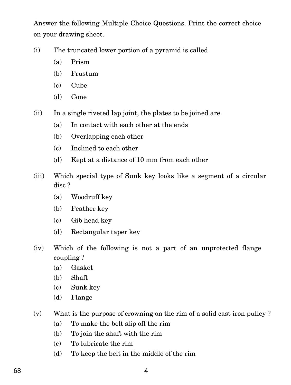Answer the following Multiple Choice Questions. Print the correct choice on your drawing sheet.

- (i) The truncated lower portion of a pyramid is called
	- (a) Prism
	- (b) Frustum
	- (c) Cube
	- (d) Cone
- (ii) In a single riveted lap joint, the plates to be joined are
	- (a) In contact with each other at the ends
	- (b) Overlapping each other
	- (c) Inclined to each other
	- (d) Kept at a distance of 10 mm from each other
- (iii) Which special type of Sunk key looks like a segment of a circular disc ?
	- (a) Woodruff key
	- (b) Feather key
	- (c) Gib head key
	- (d) Rectangular taper key
- (iv) Which of the following is not a part of an unprotected flange coupling ?
	- (a) Gasket
	- (b) Shaft
	- (c) Sunk key
	- (d) Flange
- (v) What is the purpose of crowning on the rim of a solid cast iron pulley ?
	- (a) To make the belt slip off the rim
	- (b) To join the shaft with the rim
	- (c) To lubricate the rim
	- (d) To keep the belt in the middle of the rim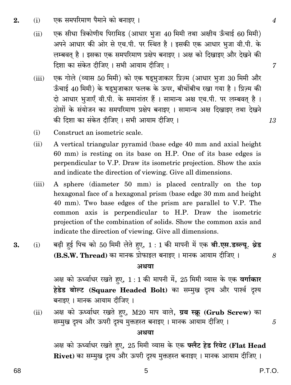- एक समपरिमाण पैमाने को बनाइए ।  $(i)$  $\overline{2}$ .
	- एक सीधा त्रिकोणीय पिरामिड (आधार भुजा 40 मिमी तथा अक्षीय ऊँचाई 60 मिमी)  $(ii)$ अपने आधार की ओर से एच.पी. पर स्थित है। इसकी एक आधार भूजा वी.पी. के लम्बवत है। इसका एक समपरिमाण प्रक्षेप बनाइए। अक्ष को दिखाइए और देखने की दिशा का संकेत दीजिए । सभी आयाम दीजिए ।
	- एक गोले (व्यास 50 मिमी) को एक षडभुजाकार प्रिज़्म (आधार भूजा 30 मिमी और  $(iii)$ ऊँचाई 40 मिमी) के षडभुजाकार फलक के ऊपर, बीचोंबीच रखा गया है। प्रिज़्म की दो आधार भूजाएँ वी.पी. के समानांतर हैं । सामान्य अक्ष एच.पी. पर लम्बवत् है । ठोसों के संयोजन का समपरिमाण प्रक्षेप बनाइए । सामान्य अक्ष दिखाइए तथा देखने की दिशा का संकेत दीजिए । सभी आयाम दीजिए ।
	- $(i)$ Construct an isometric scale.
	- $(ii)$ A vertical triangular pyramid (base edge 40 mm and axial height 60 mm) is resting on its base on H.P. One of its base edges is perpendicular to V.P. Draw its isometric projection. Show the axis and indicate the direction of viewing. Give all dimensions.
	- A sphere (diameter 50 mm) is placed centrally on the top  $(iii)$ hexagonal face of a hexagonal prism (base edge 30 mm and height 40 mm). Two base edges of the prism are parallel to V.P. The common axis is perpendicular to H.P. Draw the isometric projection of the combination of solids. Show the common axis and indicate the direction of viewing. Give all dimensions.
- बढ़ी हई पिच को 50 मिमी लेते हुए, 1 : 1 की मापनी में एक बी.एस.डब्ल्यू. थ्रेड 3.  $(i)$ (B.S.W. Thread) का मानक प्रोफाइल बनाइए । मानक आयाम दीजिए ।

#### अथवा

अक्ष को ऊर्ध्वाधर रखते हुए, 1:1 की मापनी में, 25 मिमी व्यास के एक वर्गाकार हेडेड बोल्ट (Square Headed Bolt) का सम्मुख दृश्य और पार्श्व दृश्य बनाइए । मानक आयाम दीजिए ।

अक्ष को ऊर्ध्वाधर रखते हुए, M20 माप वाले, ग्रब स्क्रू (Grub Screw) का  $(ii)$ सम्मुख दृश्य और ऊपरी दृश्य मुक्तहस्त बनाइए । मानक आयाम दीजिए ।

#### अथवा

5

अक्ष को ऊर्ध्वाधर रखते हुए, 25 मिमी व्यास के एक फ्लैट हेड रिवेट (Flat Head Rivet) का सम्मुख दृश्य और ऊपरी दृश्य मुक्तहस्त बनाइए । मानक आयाम दीजिए ।

8

5

 $\overline{7}$ 

13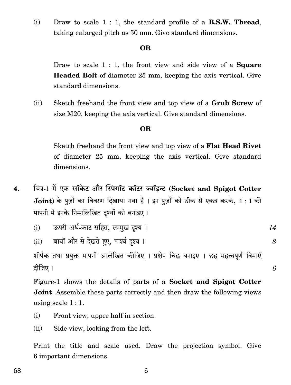$(i)$ Draw to scale  $1:1$ , the standard profile of a **B.S.W. Thread**, taking enlarged pitch as 50 mm. Give standard dimensions.

### **OR**

Draw to scale  $1:1$ , the front view and side view of a **Square Headed Bolt** of diameter 25 mm, keeping the axis vertical. Give standard dimensions.

Sketch freehand the front view and top view of a Grub Screw of  $(ii)$ size M20, keeping the axis vertical. Give standard dimensions.

#### **OR**

Sketch freehand the front view and top view of a **Flat Head Rivet** of diameter 25 mm, keeping the axis vertical. Give standard dimensions.

चित्र-1 में एक सॉकेट और स्पिगॉट कॉटर ज्वॉइन्ट (Socket and Spigot Cotter  $\overline{4}$ . Joint) के पूर्जों का विवरण दिखाया गया है। इन पुर्ज़ों को ठीक से एकत्र करके,  $1:1$  की मापनी में इनके निम्नलिखित दृश्यों को बनाइए ।

ऊपरी अर्ध-काट सहित, सम्मुख दृश्य ।  $(i)$ 14

8

6

(ii) बायीं ओर से देखते हए, पार्श्व दृश्य ।

शीर्षक तथा प्रयुक्त मापनी आलेखित कीजिए । प्रक्षेप चिह्न बनाइए । छह महत्त्वपूर्ण विमाएँ दीजिए ।

Figure-1 shows the details of parts of a Socket and Spigot Cotter **Joint.** Assemble these parts correctly and then draw the following views using scale  $1:1$ .

- Front view, upper half in section.  $(i)$
- Side view, looking from the left.  $(ii)$

Print the title and scale used. Draw the projection symbol. Give 6 important dimensions.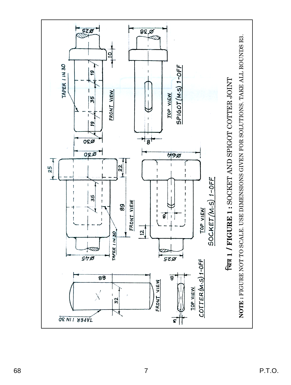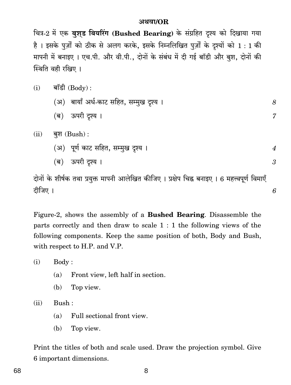#### अथवा/OR

चित्र-2 में एक बुशुड बियरिंग (Bushed Bearing) के संग्रहित दृश्य को दिखाया गया है। इसके पूर्जों को ठीक से अलग करके, इसके निम्नलिखित पूर्जों के दृश्यों को 1:1 की मापनी में बनाइए । एच.पी. और वी.पी., दोनों के संबंध में दी गई बॉडी और बुश, दोनों की स्थिति वही रखिए ।

| (i)  | बॉडी $(Body)$ :                          |                  |
|------|------------------------------------------|------------------|
|      | (अ)  बायाँ अर्ध-काट सहित, सम्मुख दृश्य । | 8                |
|      | (ब) ऊपरी दृश्य ।                         | 7                |
| (ii) | बुश $(Bush)$ :                           |                  |
|      | (अ)   पूर्ण काट सहित, सम्मुख दृश्य ।     | $\boldsymbol{4}$ |
|      | ऊपरी दृश्य ।<br>(ब)                      | 3                |
|      |                                          |                  |

दोनों के शीर्षक तथा प्रयुक्त मापनी आलेखित कीजिए । प्रक्षेप चिह्न बनाइए । 6 महत्त्वपूर्ण विमाएँ दीजिए ।

6

Figure-2, shows the assembly of a **Bushed Bearing**. Disassemble the parts correctly and then draw to scale  $1:1$  the following views of the following components. Keep the same position of both, Body and Bush, with respect to H.P. and V.P.

 $(i)$ Body:

- $(a)$ Front view, left half in section.
- Top view. (b)

 $(ii)$ Bush:

- Full sectional front view.  $(a)$
- (b) Top view.

Print the titles of both and scale used. Draw the projection symbol. Give 6 important dimensions.